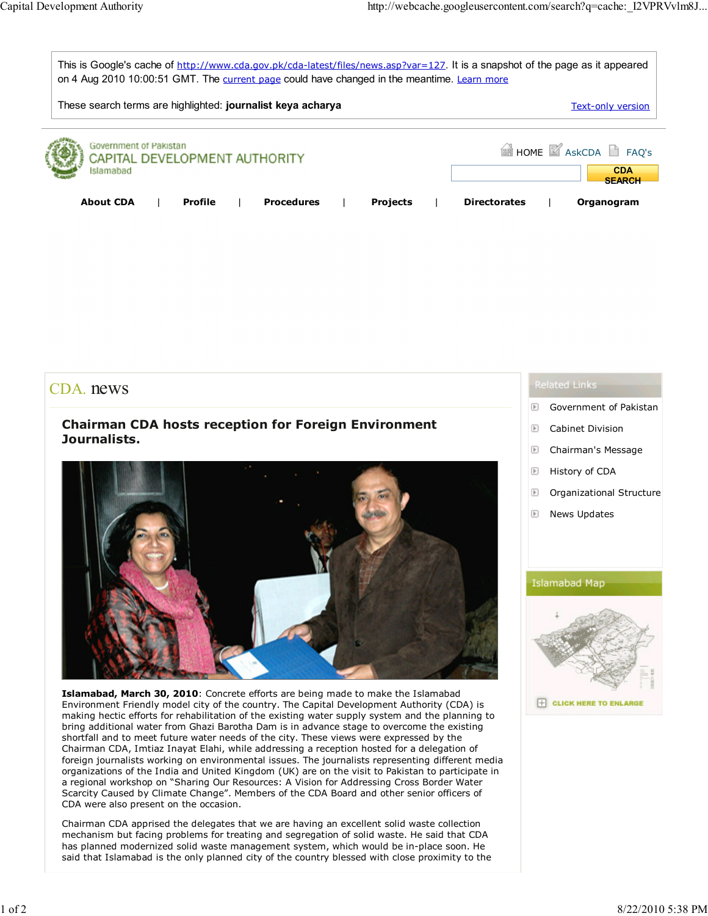

## CDA. news

## Chairman CDA hosts reception for Foreign Environment Journalists.



Islamabad, March 30, 2010: Concrete efforts are being made to make the Islamabad Environment Friendly model city of the country. The Capital Development Authority (CDA) is making hectic efforts for rehabilitation of the existing water supply system and the planning to bring additional water from Ghazi Barotha Dam is in advance stage to overcome the existing shortfall and to meet future water needs of the city. These views were expressed by the Chairman CDA, Imtiaz Inayat Elahi, while addressing a reception hosted for a delegation of foreign journalists working on environmental issues. The journalists representing different media organizations of the India and United Kingdom (UK) are on the visit to Pakistan to participate in a regional workshop on "Sharing Our Resources: A Vision for Addressing Cross Border Water Scarcity Caused by Climate Change". Members of the CDA Board and other senior officers of CDA were also present on the occasion.

Chairman CDA apprised the delegates that we are having an excellent solid waste collection mechanism but facing problems for treating and segregation of solid waste. He said that CDA has planned modernized solid waste management system, which would be in-place soon. He said that Islamabad is the only planned city of the country blessed with close proximity to the

- $\boxed{\mathbb{F}}$ Government of Pakistan
- $\overline{\mathbb{E}}$ Cabinet Division
- $\boxed{\mathbb{E}}$ Chairman's Message
- $\boxed{\mathbb{E}}$ History of CDA
- $\boxed{\mathbb{F}}$ Organizational Structure
- $\boxed{\mathbb{F}}$ News Updates

## Islamabad Map